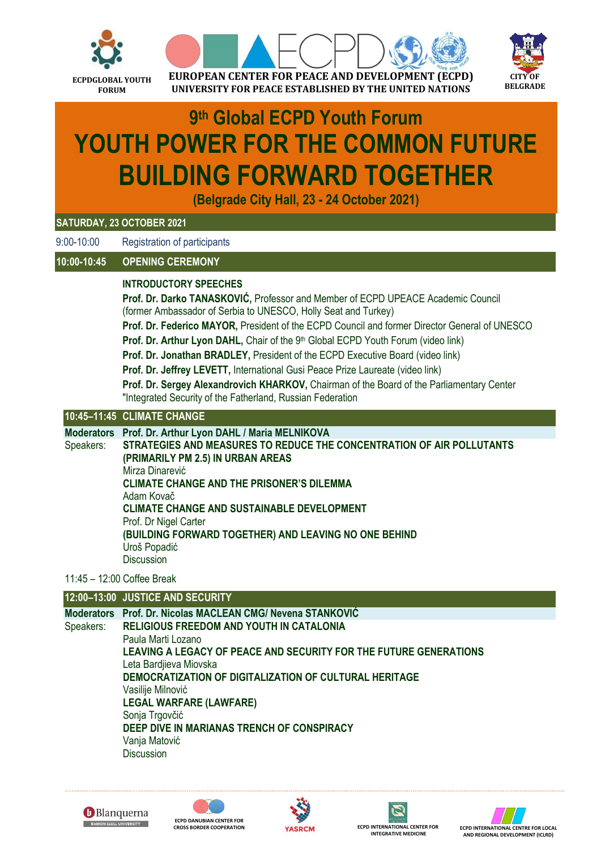



# **9 th Global ECPD Youth Forum YOUTH POWER FOR THE COMMON FUTURE BUILDING FORWARD TOGETHER**

**(Belgrade City Hall, 23 - 24 October 2021)**

### **SATURDAY, 23 OCTOBER 2021**

9:00-10:00 Registration of participants

## **10:00-10:45 OPENING CEREMONY**

### **INTRODUCTORY SPEECHES**

**Prof. Dr. Darko TANASKOVIĆ,** Professor and Member of ECPD UPEACE Academic Council (former Ambassador of Serbia to UNESCO, Holly Seat and Turkey)

**Prof. Dr. Federico MAYOR,** President of the ECPD Council and former Director General of UNESCO

**Prof. Dr. Arthur Lyon DAHL, Chair of the 9<sup>th</sup> Global ECPD Youth Forum (video link)** 

**Prof. Dr. Jonathan BRADLEY,** President of the ECPD Executive Board (video link)

**Prof. Dr. Jeffrey LEVETT,** International Gusi Peace Prize Laureate (video link)

**Prof. Dr. Sergey Alexandrovich KHARKOV,** Chairman of the Board of the Parliamentary Center "Integrated Security of the Fatherland, Russian Federation

## **10:45–11:45 CLIMATE CHANGE**

**Moderators Prof. Dr. Arthur Lyon DAHL / Maria MELNIKOVA**

Speakers: **STRATEGIES AND MEASURES TO REDUCE THE CONCENTRATION OF AIR POLLUTANTS (PRIMARILY PM 2.5) IN URBAN AREAS** Mirza Dinarević **CLIMATE CHANGE AND THE PRISONER'S DILEMMA** Adam Kovač **CLIMATE CHANGE AND SUSTAINABLE DEVELOPMENT** Prof. Dr Nigel Carter **(BUILDING FORWARD TOGETHER) AND LEAVING NO ONE BEHIND** Uroš Popadić Discussion

#### 11:45 – 12:00 Coffee Break

## **12:00–13:00 JUSTICE AND SECURITY**

**Moderators Prof. Dr. Nicolas MACLEAN CMG/ Nevena STANKOVIĆ** Speakers: **RELIGIOUS FREEDOM AND YOUTH IN CATALONIA** Paula Marti Lozano **LEAVING A LEGACY OF PEACE AND SECURITY FOR THE FUTURE GENERATIONS** Leta Bardjieva Miovska **DEMOCRATIZATION OF DIGITALIZATION OF CULTURAL HERITAGE** Vasilije Milnović **LEGAL WARFARE (LAWFARE)** Sonia Trgovčić **DEEP DIVE IN MARIANAS TRENCH OF CONSPIRACY** Vanja Matović **Discussion**